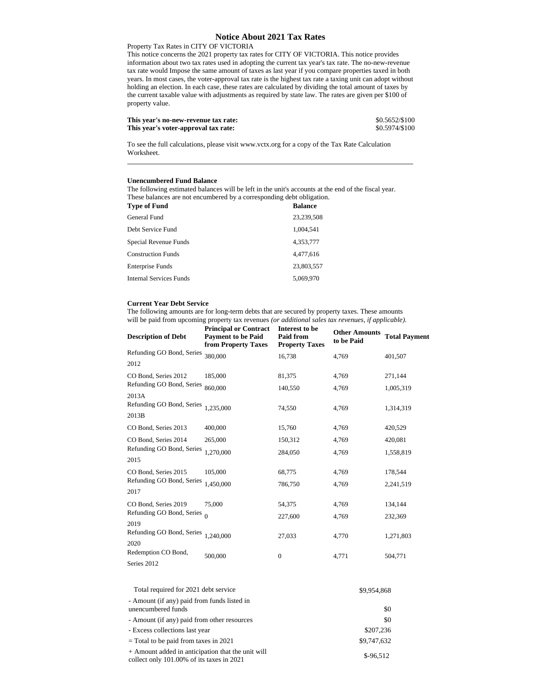## **Notice About 2021 Tax Rates**

## Property Tax Rates in CITY OF VICTORIA

This notice concerns the 2021 property tax rates for CITY OF VICTORIA. This notice provides information about two tax rates used in adopting the current tax year's tax rate. The no-new-revenue tax rate would Impose the same amount of taxes as last year if you compare properties taxed in both years. In most cases, the voter-approval tax rate is the highest tax rate a taxing unit can adopt without holding an election. In each case, these rates are calculated by dividing the total amount of taxes by the current taxable value with adjustments as required by state law. The rates are given per \$100 of property value.

| This year's no-new-revenue tax rate: | \$0.5652/\$100 |
|--------------------------------------|----------------|
| This year's voter-approval tax rate: | \$0.5974/\$100 |

To see the full calculations, please visit www.vctx.org for a copy of the Tax Rate Calculation Worksheet.

## **Unencumbered Fund Balance**

The following estimated balances will be left in the unit's accounts at the end of the fiscal year. These balances are not encumbered by a corresponding debt obligation.<br>Time of Europe

| Type of Fund              | <b>Balance</b> |
|---------------------------|----------------|
| General Fund              | 23,239,508     |
| Debt Service Fund         | 1.004.541      |
| Special Revenue Funds     | 4.353.777      |
| <b>Construction Funds</b> | 4,477,616      |
| Enterprise Funds          | 23,803,557     |
| Internal Services Funds   | 5.069.970      |

## **Current Year Debt Service**

The following amounts are for long-term debts that are secured by property taxes. These amounts will be paid from upcoming property tax revenues *(or additional sales tax revenues, if applicable).* **Principal or Contract Interest to be**

| <b>Description of Debt</b>                  | rтшеграг от Сонегасс<br><b>Payment to be Paid</b><br>from Property Taxes | mierest to be<br><b>Paid from</b><br><b>Property Taxes</b> | <b>Other Amounts</b><br>to be Paid | <b>Total Payment</b> |
|---------------------------------------------|--------------------------------------------------------------------------|------------------------------------------------------------|------------------------------------|----------------------|
| Refunding GO Bond, Series                   | 380,000                                                                  | 16,738                                                     | 4,769                              | 401,507              |
| 2012                                        |                                                                          |                                                            |                                    |                      |
| CO Bond, Series 2012                        | 185,000                                                                  | 81,375                                                     | 4,769                              | 271,144              |
| Refunding GO Bond, Series                   | 860,000                                                                  | 140,550                                                    | 4,769                              | 1,005,319            |
| 2013A<br>Refunding GO Bond, Series<br>2013B | 1.235.000                                                                | 74,550                                                     | 4,769                              | 1,314,319            |
| CO Bond, Series 2013                        | 400,000                                                                  | 15,760                                                     | 4,769                              | 420,529              |
| CO Bond, Series 2014                        | 265,000                                                                  | 150,312                                                    | 4,769                              | 420,081              |
| Refunding GO Bond, Series                   | 1,270,000                                                                | 284,050                                                    | 4,769                              | 1,558,819            |
| 2015                                        |                                                                          |                                                            |                                    |                      |
| CO Bond, Series 2015                        | 105,000                                                                  | 68,775                                                     | 4,769                              | 178,544              |
| Refunding GO Bond, Series                   | 1,450,000                                                                | 786,750                                                    | 4,769                              | 2,241,519            |
| 2017                                        |                                                                          |                                                            |                                    |                      |
| CO Bond, Series 2019                        | 75,000                                                                   | 54,375                                                     | 4,769                              | 134,144              |
| Refunding GO Bond, Series                   | $\Omega$                                                                 | 227,600                                                    | 4,769                              | 232,369              |
| 2019<br>Refunding GO Bond, Series           | 1,240,000                                                                |                                                            |                                    |                      |
| 2020                                        |                                                                          | 27,033                                                     | 4,770                              | 1,271,803            |
| Redemption CO Bond,                         | 500,000                                                                  | 0                                                          | 4,771                              | 504,771              |
| Series 2012                                 |                                                                          |                                                            |                                    |                      |

| Total required for 2021 debt service                                                           | \$9.954.868 |
|------------------------------------------------------------------------------------------------|-------------|
| - Amount (if any) paid from funds listed in<br>unencumbered funds                              | \$0         |
| - Amount (if any) paid from other resources                                                    | \$0         |
| - Excess collections last year                                                                 | \$207.236   |
| $=$ Total to be paid from taxes in 2021                                                        | \$9,747,632 |
| + Amount added in anticipation that the unit will<br>collect only 101.00% of its taxes in 2021 | $$-96.512$  |